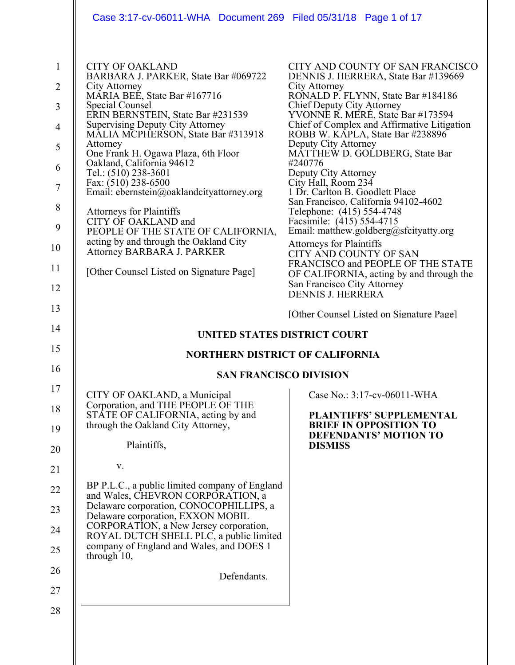| Case 3:17-cv-06011-WHA Document 269 Filed 05/31/18 Page 1 of 17                                                                                                                                                                                                                                                                                                                                                                                                                                                                                                                                                                                                 |                                                                                                                                                                                                                                                                                                                                                                                                                                                                                                                                                                                                                                                                                                                                                                                                          |
|-----------------------------------------------------------------------------------------------------------------------------------------------------------------------------------------------------------------------------------------------------------------------------------------------------------------------------------------------------------------------------------------------------------------------------------------------------------------------------------------------------------------------------------------------------------------------------------------------------------------------------------------------------------------|----------------------------------------------------------------------------------------------------------------------------------------------------------------------------------------------------------------------------------------------------------------------------------------------------------------------------------------------------------------------------------------------------------------------------------------------------------------------------------------------------------------------------------------------------------------------------------------------------------------------------------------------------------------------------------------------------------------------------------------------------------------------------------------------------------|
| <b>CITY OF OAKLAND</b><br>BARBARA J. PARKER, State Bar #069722<br>City Attorney<br>MÁRIA BEÉ, State Bar #167716<br><b>Special Counsel</b><br>ERIN BERNSTEIN, State Bar #231539<br><b>Supervising Deputy City Attorney</b><br>MALIA MCPHERSON, State Bar #313918<br>Attorney<br>One Frank H. Ogawa Plaza, 6th Floor<br>Oakland, California 94612<br>Tel.: (510) 238-3601<br>Fax: (510) 238-6500<br>Email: ebernstein@oaklandcityattorney.org<br><b>Attorneys for Plaintiffs</b><br>CITY OF OAKLAND and<br>PEOPLE OF THE STATE OF CALIFORNIA,<br>acting by and through the Oakland City<br>Attorney BARBARA J. PARKER<br>[Other Counsel Listed on Signature Page] | CITY AND COUNTY OF SAN FRANCISCO<br>DENNIS J. HERRERA, State Bar #139669<br>City Attorney<br>RONALD P. FLYNN, State Bar #184186<br>Chief Deputy City Attorney<br>YVONNE R. MERÉ, State Bar #173594<br>Chief of Complex and Affirmative Litigation<br>ROBB W. KAPLA, State Bar #238896<br>Deputy City Attorney<br>MĀTTHEW D. GOLDBERG, State Bar<br>#240776<br>Deputy City Attorney<br>City Hall, Room 234<br>1 Dr. Carlton B. Goodlett Place<br>San Francisco, California 94102-4602<br>Telephone: (415) 554-4748<br>Facsimile: (415) 554-4715<br>Email: matthew.goldberg@sfcityatty.org<br><b>Attorneys for Plaintiffs</b><br><b>CITY AND COUNTY OF SAN</b><br>FRANCISCO and PEOPLE OF THE STATE<br>OF CALIFORNIA, acting by and through the<br>San Francisco City Attorney<br><b>DENNIS J. HERRERA</b> |
|                                                                                                                                                                                                                                                                                                                                                                                                                                                                                                                                                                                                                                                                 | [Other Counsel Listed on Signature Page]                                                                                                                                                                                                                                                                                                                                                                                                                                                                                                                                                                                                                                                                                                                                                                 |
|                                                                                                                                                                                                                                                                                                                                                                                                                                                                                                                                                                                                                                                                 | UNITED STATES DISTRICT COURT                                                                                                                                                                                                                                                                                                                                                                                                                                                                                                                                                                                                                                                                                                                                                                             |
| <b>NORTHERN DISTRICT OF CALIFORNIA</b>                                                                                                                                                                                                                                                                                                                                                                                                                                                                                                                                                                                                                          |                                                                                                                                                                                                                                                                                                                                                                                                                                                                                                                                                                                                                                                                                                                                                                                                          |
| <b>SAN FRANCISCO DIVISION</b>                                                                                                                                                                                                                                                                                                                                                                                                                                                                                                                                                                                                                                   |                                                                                                                                                                                                                                                                                                                                                                                                                                                                                                                                                                                                                                                                                                                                                                                                          |
| CITY OF OAKLAND, a Municipal<br>Corporation, and THE PEOPLE OF THE<br>STATE OF CALIFORNIA, acting by and<br>through the Oakland City Attorney,<br>Plaintiffs,                                                                                                                                                                                                                                                                                                                                                                                                                                                                                                   | Case No.: 3:17-cv-06011-WHA<br><b>PLAINTIFFS' SUPPLEMENTAL</b><br><b>BRIEF IN OPPOSITION TO</b><br>DEFENDANTS' MOTION TO<br><b>DISMISS</b>                                                                                                                                                                                                                                                                                                                                                                                                                                                                                                                                                                                                                                                               |
| V.                                                                                                                                                                                                                                                                                                                                                                                                                                                                                                                                                                                                                                                              |                                                                                                                                                                                                                                                                                                                                                                                                                                                                                                                                                                                                                                                                                                                                                                                                          |
| BP P.L.C., a public limited company of England<br>and Wales, CHEVRON CORPORATION, a<br>Delaware corporation, CONOCOPHILLIPS, a<br>Delaware corporation, EXXON MOBIL<br>CORPORATION, a New Jersey corporation,<br>ROYAL DUTCH SHELL PLC, a public limited<br>company of England and Wales, and DOES 1<br>through 10,                                                                                                                                                                                                                                                                                                                                             |                                                                                                                                                                                                                                                                                                                                                                                                                                                                                                                                                                                                                                                                                                                                                                                                          |
| Defendants.                                                                                                                                                                                                                                                                                                                                                                                                                                                                                                                                                                                                                                                     |                                                                                                                                                                                                                                                                                                                                                                                                                                                                                                                                                                                                                                                                                                                                                                                                          |
|                                                                                                                                                                                                                                                                                                                                                                                                                                                                                                                                                                                                                                                                 |                                                                                                                                                                                                                                                                                                                                                                                                                                                                                                                                                                                                                                                                                                                                                                                                          |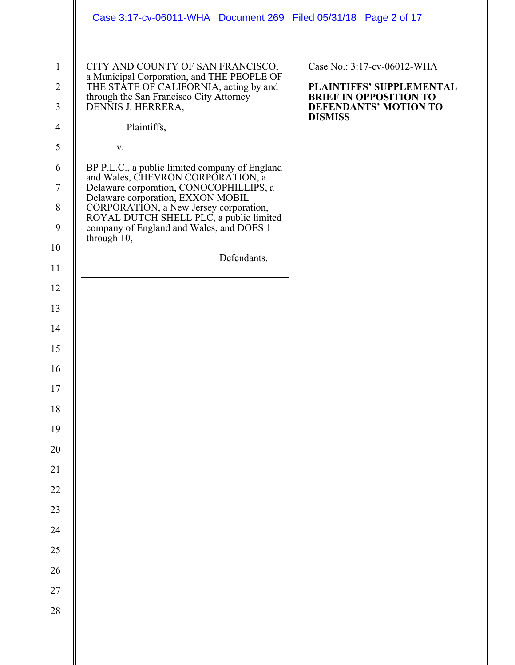|                                                                                                                                                                                                                                       | Case 3:17-cv-06011-WHA Document 269 Filed 05/31/18 Page 2 of 17                                                                                                                                                                                                                                                                                                                                                                                                                                                                                       |                                                                                                                                            |
|---------------------------------------------------------------------------------------------------------------------------------------------------------------------------------------------------------------------------------------|-------------------------------------------------------------------------------------------------------------------------------------------------------------------------------------------------------------------------------------------------------------------------------------------------------------------------------------------------------------------------------------------------------------------------------------------------------------------------------------------------------------------------------------------------------|--------------------------------------------------------------------------------------------------------------------------------------------|
| $\mathbf{1}$<br>$\overline{2}$<br>3<br>$\overline{4}$<br>5<br>6<br>$\boldsymbol{7}$<br>$\,8\,$<br>9<br>10<br>11<br>12<br>13<br>14<br>15<br>16<br>$17\,$<br>18<br>19<br>20<br>21<br>22<br>23<br>24<br>$25\,$<br>26<br>$27\,$<br>$28\,$ | CITY AND COUNTY OF SAN FRANCISCO,<br>a Municipal Corporation, and THE PEOPLE OF<br>THE STATE OF CALIFORNIA, acting by and<br>through the San Francisco City Attorney<br>DENNIS J. HERRERA,<br>Plaintiffs,<br>V.<br>BP P.L.C., a public limited company of England<br>and Wales, CHEVRON CORPORATION, a<br>Delaware corporation, CONOCOPHILLIPS, a<br>Delaware corporation, EXXON MOBIL<br>CORPORATION, a New Jersey corporation,<br>ROYAL DUTCH SHELL PLC, a public limited<br>company of England and Wales, and DOES 1<br>through 10,<br>Defendants. | Case No.: 3:17-cv-06012-WHA<br>PLAINTIFFS' SUPPLEMENTAL<br><b>BRIEF IN OPPOSITION TO</b><br><b>DEFENDANTS' MOTION TO</b><br><b>DISMISS</b> |
|                                                                                                                                                                                                                                       |                                                                                                                                                                                                                                                                                                                                                                                                                                                                                                                                                       |                                                                                                                                            |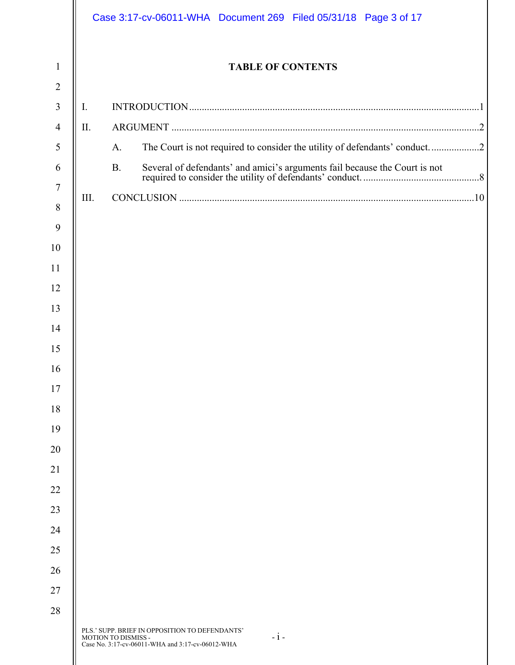|                |      | Case 3:17-cv-06011-WHA Document 269 Filed 05/31/18 Page 3 of 17                                                                    |
|----------------|------|------------------------------------------------------------------------------------------------------------------------------------|
| $\mathbf{1}$   |      | <b>TABLE OF CONTENTS</b>                                                                                                           |
| $\overline{2}$ |      |                                                                                                                                    |
| 3              | I.   |                                                                                                                                    |
| $\overline{4}$ | II.  |                                                                                                                                    |
| 5<br>6         |      | The Court is not required to consider the utility of defendants' conduct2<br>A.<br><b>B.</b>                                       |
| 7              |      |                                                                                                                                    |
| 8              | III. |                                                                                                                                    |
| 9              |      |                                                                                                                                    |
| 10             |      |                                                                                                                                    |
| 11             |      |                                                                                                                                    |
| 12             |      |                                                                                                                                    |
| 13             |      |                                                                                                                                    |
| 14             |      |                                                                                                                                    |
| 15             |      |                                                                                                                                    |
| 16             |      |                                                                                                                                    |
| 17             |      |                                                                                                                                    |
| 18             |      |                                                                                                                                    |
| 19             |      |                                                                                                                                    |
| 20             |      |                                                                                                                                    |
|                |      |                                                                                                                                    |
|                |      |                                                                                                                                    |
|                |      |                                                                                                                                    |
| 24             |      |                                                                                                                                    |
|                |      |                                                                                                                                    |
| 26             |      |                                                                                                                                    |
| 27             |      |                                                                                                                                    |
| 28             |      |                                                                                                                                    |
|                |      | PLS.' SUPP. BRIEF IN OPPOSITION TO DEFENDANTS'<br>$-i-$<br>MOTION TO DISMISS -<br>Case No. 3:17-cv-06011-WHA and 3:17-cv-06012-WHA |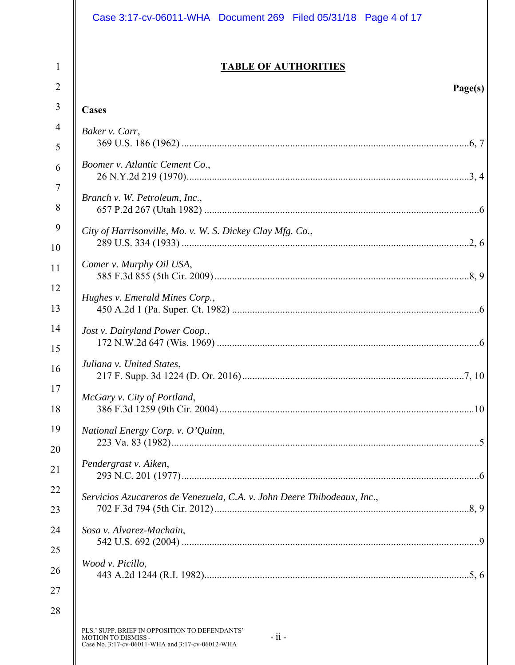| Case 3:17-cv-06011-WHA Document 269 Filed 05/31/18 Page 4 of 17                                                                                      |
|------------------------------------------------------------------------------------------------------------------------------------------------------|
| <b>TABLE OF AUTHORITIES</b><br>Page(s)                                                                                                               |
| Cases                                                                                                                                                |
| Baker v. Carr,                                                                                                                                       |
|                                                                                                                                                      |
| Boomer v. Atlantic Cement Co.,                                                                                                                       |
| Branch v. W. Petroleum, Inc.,                                                                                                                        |
| City of Harrisonville, Mo. v. W. S. Dickey Clay Mfg. Co.,                                                                                            |
| Comer v. Murphy Oil USA,                                                                                                                             |
| Hughes v. Emerald Mines Corp.,                                                                                                                       |
| Jost v. Dairyland Power Coop.,                                                                                                                       |
| Juliana v. United States,                                                                                                                            |
| McGary v. City of Portland,                                                                                                                          |
| National Energy Corp. v. O'Quinn,                                                                                                                    |
| Pendergrast v. Aiken,                                                                                                                                |
| Servicios Azucareros de Venezuela, C.A. v. John Deere Thibodeaux, Inc.,                                                                              |
| Sosa v. Alvarez-Machain,                                                                                                                             |
| Wood v. Picillo,                                                                                                                                     |
| PLS.' SUPP. BRIEF IN OPPOSITION TO DEFENDANTS'<br>$-i\mathrm{i}$ .<br><b>MOTION TO DISMISS -</b><br>Case No. 3:17-cv-06011-WHA and 3:17-cv-06012-WHA |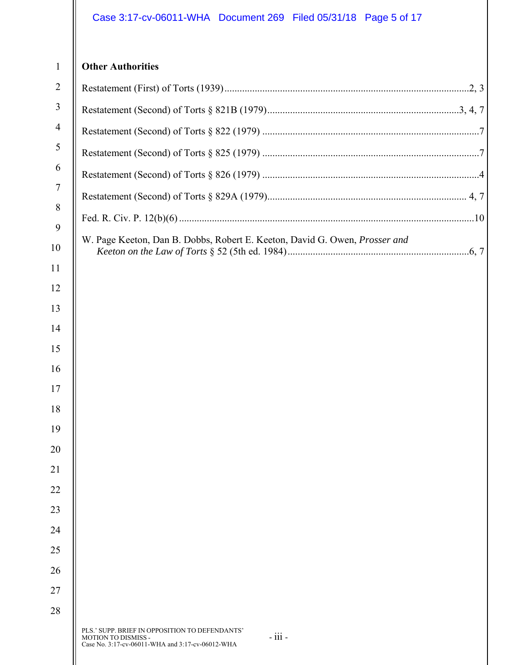# Case 3:17-cv-06011-WHA Document 269 Filed 05/31/18 Page 5 of 17

# PLS.' SUPP. BRIEF IN OPPOSITION TO DEFENDANTS' MOTION TO DISMISS - - iii - Case No. 3:17-cv-06011-WHA and 3:17-cv-06012-WHA **Other Authorities**  Restatement (First) of Torts (1939) .................................................................................................2, 3 Restatement (Second) of Torts § 821B (1979) ............................................................................3, 4, 7 Restatement (Second) of Torts § 822 (1979) ......................................................................................7 Restatement (Second) of Torts § 825 (1979) ......................................................................................7 Restatement (Second) of Torts § 826 (1979) ......................................................................................4 Restatement (Second) of Torts § 829A (1979) ............................................................................... 4, 7 Fed. R. Civ. P. 12(b)(6) .....................................................................................................................10 W. Page Keeton, Dan B. Dobbs, Robert E. Keeton, David G. Owen, *Prosser and Keeton on the Law of Torts* § 52 (5th ed. 1984) ........................................................................6, 7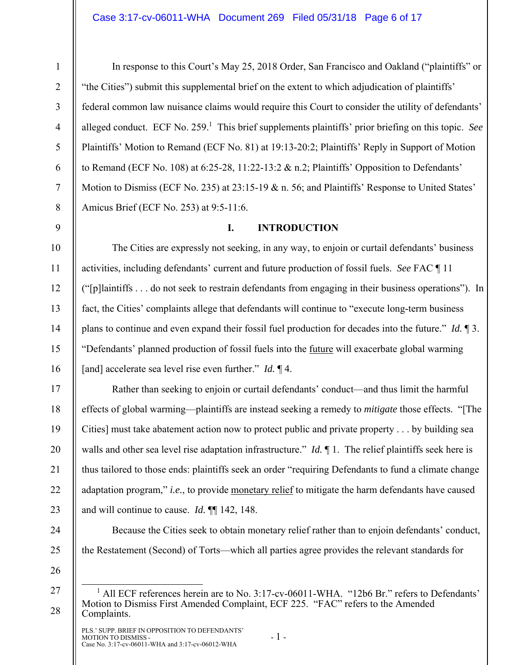2 3 4

5

6

7

8

9

10

11

12

13

14

15

16

17

18

19

20

21

22

23

24

25

1

In response to this Court's May 25, 2018 Order, San Francisco and Oakland ("plaintiffs" or "the Cities") submit this supplemental brief on the extent to which adjudication of plaintiffs' federal common law nuisance claims would require this Court to consider the utility of defendants' alleged conduct. ECF No. 259.<sup>1</sup> This brief supplements plaintiffs' prior briefing on this topic. See Plaintiffs' Motion to Remand (ECF No. 81) at 19:13-20:2; Plaintiffs' Reply in Support of Motion to Remand (ECF No. 108) at 6:25-28, 11:22-13:2 & n.2; Plaintiffs' Opposition to Defendants' Motion to Dismiss (ECF No. 235) at 23:15-19 & n. 56; and Plaintiffs' Response to United States' Amicus Brief (ECF No. 253) at 9:5-11:6.

## **I. INTRODUCTION**

The Cities are expressly not seeking, in any way, to enjoin or curtail defendants' business activities, including defendants' current and future production of fossil fuels. *See* FAC ¶ 11 ("[p]laintiffs . . . do not seek to restrain defendants from engaging in their business operations"). In fact, the Cities' complaints allege that defendants will continue to "execute long-term business plans to continue and even expand their fossil fuel production for decades into the future." *Id.* ¶ 3. "Defendants' planned production of fossil fuels into the future will exacerbate global warming [and] accelerate sea level rise even further." *Id.* ¶ 4.

Rather than seeking to enjoin or curtail defendants' conduct—and thus limit the harmful effects of global warming—plaintiffs are instead seeking a remedy to *mitigate* those effects. "[The Cities] must take abatement action now to protect public and private property . . . by building sea walls and other sea level rise adaptation infrastructure." *Id.* If 1. The relief plaintiffs seek here is thus tailored to those ends: plaintiffs seek an order "requiring Defendants to fund a climate change adaptation program," *i.e.*, to provide monetary relief to mitigate the harm defendants have caused and will continue to cause. *Id.* ¶¶ 142, 148.

Because the Cities seek to obtain monetary relief rather than to enjoin defendants' conduct, the Restatement (Second) of Torts—which all parties agree provides the relevant standards for

26

27

28

 $\overline{\phantom{0}}$  $^1$  All ECF references herein are to No. 3:17-cv-06011-WHA. "12b6 Br." refers to Defendants' Motion to Dismiss First Amended Complaint, ECF 225. "FAC" refers to the Amended Complaints.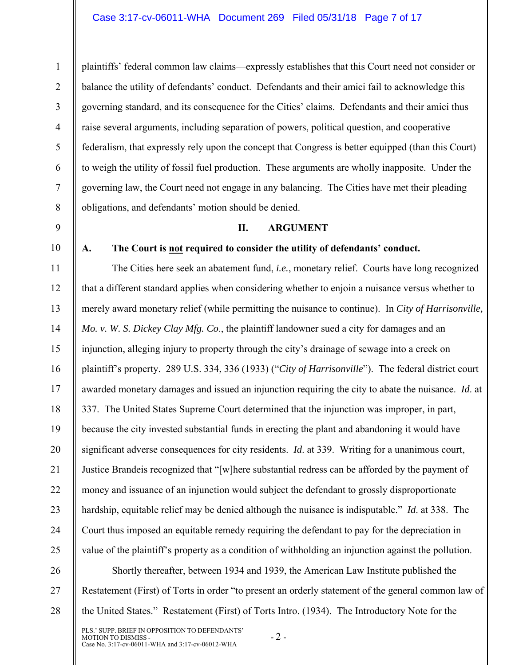plaintiffs' federal common law claims—expressly establishes that this Court need not consider or balance the utility of defendants' conduct. Defendants and their amici fail to acknowledge this governing standard, and its consequence for the Cities' claims. Defendants and their amici thus raise several arguments, including separation of powers, political question, and cooperative federalism, that expressly rely upon the concept that Congress is better equipped (than this Court) to weigh the utility of fossil fuel production. These arguments are wholly inapposite. Under the governing law, the Court need not engage in any balancing. The Cities have met their pleading obligations, and defendants' motion should be denied.

### **II. ARGUMENT**

### 10

1

2

3

4

5

6

7

8

9

**A. The Court is not required to consider the utility of defendants' conduct.** 

11 12 13 14 15 16 17 18 19 20 21 22 23 24 25 The Cities here seek an abatement fund, *i.e.*, monetary relief. Courts have long recognized that a different standard applies when considering whether to enjoin a nuisance versus whether to merely award monetary relief (while permitting the nuisance to continue). In *City of Harrisonville, Mo. v. W. S. Dickey Clay Mfg. Co*., the plaintiff landowner sued a city for damages and an injunction, alleging injury to property through the city's drainage of sewage into a creek on plaintiff's property. 289 U.S. 334, 336 (1933) ("*City of Harrisonville*"). The federal district court awarded monetary damages and issued an injunction requiring the city to abate the nuisance. *Id*. at 337. The United States Supreme Court determined that the injunction was improper, in part, because the city invested substantial funds in erecting the plant and abandoning it would have significant adverse consequences for city residents. *Id*. at 339. Writing for a unanimous court, Justice Brandeis recognized that "[w]here substantial redress can be afforded by the payment of money and issuance of an injunction would subject the defendant to grossly disproportionate hardship, equitable relief may be denied although the nuisance is indisputable." *Id*. at 338. The Court thus imposed an equitable remedy requiring the defendant to pay for the depreciation in value of the plaintiff's property as a condition of withholding an injunction against the pollution.

26 27 28 Shortly thereafter, between 1934 and 1939, the American Law Institute published the Restatement (First) of Torts in order "to present an orderly statement of the general common law of the United States." Restatement (First) of Torts Intro. (1934). The Introductory Note for the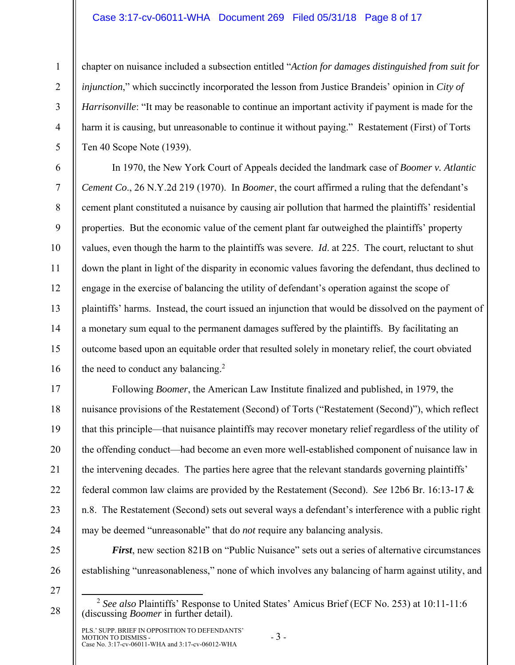### Case 3:17-cv-06011-WHA Document 269 Filed 05/31/18 Page 8 of 17

chapter on nuisance included a subsection entitled "*Action for damages distinguished from suit for injunction*," which succinctly incorporated the lesson from Justice Brandeis' opinion in *City of Harrisonville*: "It may be reasonable to continue an important activity if payment is made for the harm it is causing, but unreasonable to continue it without paying." Restatement (First) of Torts Ten 40 Scope Note (1939).

In 1970, the New York Court of Appeals decided the landmark case of *Boomer v. Atlantic Cement Co*., 26 N.Y.2d 219 (1970). In *Boomer*, the court affirmed a ruling that the defendant's cement plant constituted a nuisance by causing air pollution that harmed the plaintiffs' residential properties. But the economic value of the cement plant far outweighed the plaintiffs' property values, even though the harm to the plaintiffs was severe. *Id*. at 225. The court, reluctant to shut down the plant in light of the disparity in economic values favoring the defendant, thus declined to engage in the exercise of balancing the utility of defendant's operation against the scope of plaintiffs' harms. Instead, the court issued an injunction that would be dissolved on the payment of a monetary sum equal to the permanent damages suffered by the plaintiffs. By facilitating an outcome based upon an equitable order that resulted solely in monetary relief, the court obviated the need to conduct any balancing.<sup>2</sup>

Following *Boomer*, the American Law Institute finalized and published, in 1979, the nuisance provisions of the Restatement (Second) of Torts ("Restatement (Second)"), which reflect that this principle—that nuisance plaintiffs may recover monetary relief regardless of the utility of the offending conduct—had become an even more well-established component of nuisance law in the intervening decades. The parties here agree that the relevant standards governing plaintiffs' federal common law claims are provided by the Restatement (Second). *See* 12b6 Br. 16:13-17 & n.8. The Restatement (Second) sets out several ways a defendant's interference with a public right may be deemed "unreasonable" that do *not* require any balancing analysis.

*First*, new section 821B on "Public Nuisance" sets out a series of alternative circumstances establishing "unreasonableness," none of which involves any balancing of harm against utility, and

27

28

1

2

3

4

5

6

7

8

9

10

11

12

13

14

15

16

17

18

19

20

21

22

23

24

25

26

PLS.' SUPP. BRIEF IN OPPOSITION TO DEFENDANTS' MOTION TO DISMISS - - 3 - Case No. 3:17-cv-06011-WHA and 3:17-cv-06012-WHA - - 3 -

 <sup>2</sup> *See also* Plaintiffs' Response to United States' Amicus Brief (ECF No. 253) at 10:11-11:6 (discussing *Boomer* in further detail).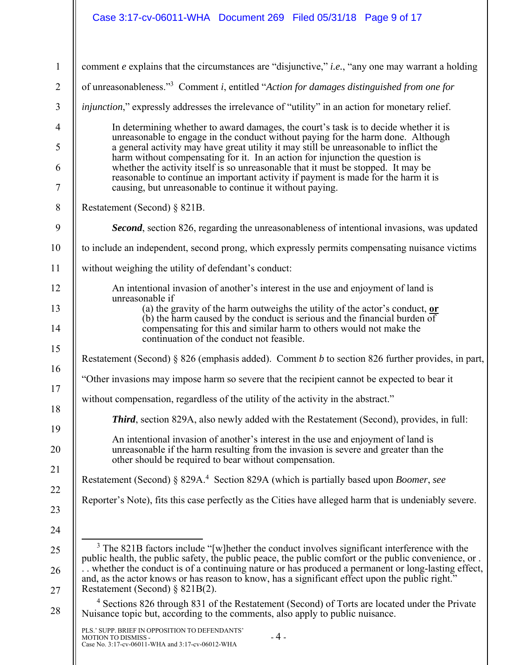# Case 3:17-cv-06011-WHA Document 269 Filed 05/31/18 Page 9 of 17

| comment e explains that the circumstances are "disjunctive," i.e., "any one may warrant a holding                                                                                                                                                                                                                                                                                                                                                                                                                                                                                                                                                                                                                                                                                                   |  |  |  |  |  |
|-----------------------------------------------------------------------------------------------------------------------------------------------------------------------------------------------------------------------------------------------------------------------------------------------------------------------------------------------------------------------------------------------------------------------------------------------------------------------------------------------------------------------------------------------------------------------------------------------------------------------------------------------------------------------------------------------------------------------------------------------------------------------------------------------------|--|--|--|--|--|
| of unreasonableness." <sup>3</sup> Comment i, entitled "Action for damages distinguished from one for                                                                                                                                                                                                                                                                                                                                                                                                                                                                                                                                                                                                                                                                                               |  |  |  |  |  |
| injunction," expressly addresses the irrelevance of "utility" in an action for monetary relief.                                                                                                                                                                                                                                                                                                                                                                                                                                                                                                                                                                                                                                                                                                     |  |  |  |  |  |
| In determining whether to award damages, the court's task is to decide whether it is<br>unreasonable to engage in the conduct without paying for the harm done. Although                                                                                                                                                                                                                                                                                                                                                                                                                                                                                                                                                                                                                            |  |  |  |  |  |
| a general activity may have great utility it may still be unreasonable to inflict the<br>harm without compensating for it. In an action for injunction the question is                                                                                                                                                                                                                                                                                                                                                                                                                                                                                                                                                                                                                              |  |  |  |  |  |
| whether the activity itself is so unreasonable that it must be stopped. It may be<br>reasonable to continue an important activity if payment is made for the harm it is<br>causing, but unreasonable to continue it without paying.                                                                                                                                                                                                                                                                                                                                                                                                                                                                                                                                                                 |  |  |  |  |  |
| Restatement (Second) § 821B.                                                                                                                                                                                                                                                                                                                                                                                                                                                                                                                                                                                                                                                                                                                                                                        |  |  |  |  |  |
| Second, section 826, regarding the unreasonableness of intentional invasions, was updated                                                                                                                                                                                                                                                                                                                                                                                                                                                                                                                                                                                                                                                                                                           |  |  |  |  |  |
| to include an independent, second prong, which expressly permits compensating nuisance victims                                                                                                                                                                                                                                                                                                                                                                                                                                                                                                                                                                                                                                                                                                      |  |  |  |  |  |
| without weighing the utility of defendant's conduct:                                                                                                                                                                                                                                                                                                                                                                                                                                                                                                                                                                                                                                                                                                                                                |  |  |  |  |  |
| An intentional invasion of another's interest in the use and enjoyment of land is<br>unreasonable if                                                                                                                                                                                                                                                                                                                                                                                                                                                                                                                                                                                                                                                                                                |  |  |  |  |  |
| (a) the gravity of the harm outweighs the utility of the actor's conduct, $or$<br>$(b)$ the harm caused by the conduct is serious and the financial burden of                                                                                                                                                                                                                                                                                                                                                                                                                                                                                                                                                                                                                                       |  |  |  |  |  |
| compensating for this and similar harm to others would not make the<br>continuation of the conduct not feasible.                                                                                                                                                                                                                                                                                                                                                                                                                                                                                                                                                                                                                                                                                    |  |  |  |  |  |
| Restatement (Second) § 826 (emphasis added). Comment b to section 826 further provides, in part,                                                                                                                                                                                                                                                                                                                                                                                                                                                                                                                                                                                                                                                                                                    |  |  |  |  |  |
| "Other invasions may impose harm so severe that the recipient cannot be expected to bear it                                                                                                                                                                                                                                                                                                                                                                                                                                                                                                                                                                                                                                                                                                         |  |  |  |  |  |
| without compensation, regardless of the utility of the activity in the abstract."                                                                                                                                                                                                                                                                                                                                                                                                                                                                                                                                                                                                                                                                                                                   |  |  |  |  |  |
| <b>Third</b> , section 829A, also newly added with the Restatement (Second), provides, in full:                                                                                                                                                                                                                                                                                                                                                                                                                                                                                                                                                                                                                                                                                                     |  |  |  |  |  |
| An intentional invasion of another's interest in the use and enjoyment of land is<br>unreasonable if the harm resulting from the invasion is severe and greater than the<br>other should be required to bear without compensation.                                                                                                                                                                                                                                                                                                                                                                                                                                                                                                                                                                  |  |  |  |  |  |
| Restatement (Second) § 829A. <sup>4</sup> Section 829A (which is partially based upon Boomer, see                                                                                                                                                                                                                                                                                                                                                                                                                                                                                                                                                                                                                                                                                                   |  |  |  |  |  |
| Reporter's Note), fits this case perfectly as the Cities have alleged harm that is undeniably severe.                                                                                                                                                                                                                                                                                                                                                                                                                                                                                                                                                                                                                                                                                               |  |  |  |  |  |
| <sup>3</sup> The 821B factors include "[w]hether the conduct involves significant interference with the<br>public health, the public safety, the public peace, the public comfort or the public convenience, or.<br>. whether the conduct is of a continuing nature or has produced a permanent or long-lasting effect,<br>and, as the actor knows or has reason to know, has a significant effect upon the public right."<br>Restatement (Second) $\S$ 821B(2).<br><sup>4</sup> Sections 826 through 831 of the Restatement (Second) of Torts are located under the Private<br>Nuisance topic but, according to the comments, also apply to public nuisance.<br>PLS.' SUPP. BRIEF IN OPPOSITION TO DEFENDANTS'<br>$-4-$<br>MOTION TO DISMISS -<br>Case No. 3:17-cv-06011-WHA and 3:17-cv-06012-WHA |  |  |  |  |  |
|                                                                                                                                                                                                                                                                                                                                                                                                                                                                                                                                                                                                                                                                                                                                                                                                     |  |  |  |  |  |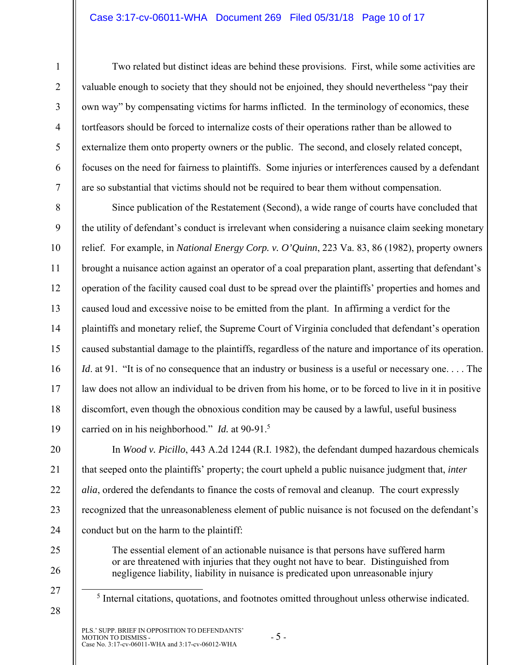### Case 3:17-cv-06011-WHA Document 269 Filed 05/31/18 Page 10 of 17

1

Two related but distinct ideas are behind these provisions. First, while some activities are valuable enough to society that they should not be enjoined, they should nevertheless "pay their own way" by compensating victims for harms inflicted. In the terminology of economics, these tortfeasors should be forced to internalize costs of their operations rather than be allowed to externalize them onto property owners or the public. The second, and closely related concept, focuses on the need for fairness to plaintiffs. Some injuries or interferences caused by a defendant are so substantial that victims should not be required to bear them without compensation.

Since publication of the Restatement (Second), a wide range of courts have concluded that the utility of defendant's conduct is irrelevant when considering a nuisance claim seeking monetary relief. For example, in *National Energy Corp. v. O'Quinn*, 223 Va. 83, 86 (1982), property owners brought a nuisance action against an operator of a coal preparation plant, asserting that defendant's operation of the facility caused coal dust to be spread over the plaintiffs' properties and homes and caused loud and excessive noise to be emitted from the plant. In affirming a verdict for the plaintiffs and monetary relief, the Supreme Court of Virginia concluded that defendant's operation caused substantial damage to the plaintiffs, regardless of the nature and importance of its operation. *Id.* at 91. "It is of no consequence that an industry or business is a useful or necessary one.... The law does not allow an individual to be driven from his home, or to be forced to live in it in positive discomfort, even though the obnoxious condition may be caused by a lawful, useful business carried on in his neighborhood." *Id.* at 90-91.<sup>5</sup>

In *Wood v. Picillo*, 443 A.2d 1244 (R.I. 1982), the defendant dumped hazardous chemicals that seeped onto the plaintiffs' property; the court upheld a public nuisance judgment that, *inter alia*, ordered the defendants to finance the costs of removal and cleanup. The court expressly recognized that the unreasonableness element of public nuisance is not focused on the defendant's conduct but on the harm to the plaintiff:

25 26 27

28

21

22

23

24

<sup>5</sup> Internal citations, quotations, and footnotes omitted throughout unless otherwise indicated.

The essential element of an actionable nuisance is that persons have suffered harm or are threatened with injuries that they ought not have to bear. Distinguished from negligence liability, liability in nuisance is predicated upon unreasonable injury

PLS.' SUPP. BRIEF IN OPPOSITION TO DEFENDANTS' MOTION TO DISMISS - - 5 - Case No. 3:17-cv-06011-WHA and 3:17-cv-06012-WHA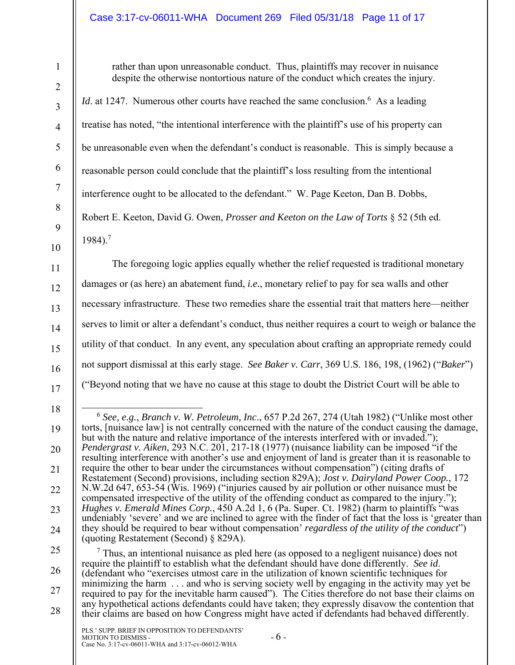# Case 3:17-cv-06011-WHA Document 269 Filed 05/31/18 Page 11 of 17

rather than upon unreasonable conduct. Thus, plaintiffs may recover in nuisance despite the otherwise nontortious nature of the conduct which creates the injury.

*Id.* at 1247. Numerous other courts have reached the same conclusion.<sup>6</sup> As a leading treatise has noted, "the intentional interference with the plaintiff's use of his property can be unreasonable even when the defendant's conduct is reasonable. This is simply because a reasonable person could conclude that the plaintiff's loss resulting from the intentional interference ought to be allocated to the defendant." W. Page Keeton, Dan B. Dobbs, Robert E. Keeton, David G. Owen, *Prosser and Keeton on the Law of Torts* § 52 (5th ed. 1984).7

The foregoing logic applies equally whether the relief requested is traditional monetary damages or (as here) an abatement fund, *i.e.*, monetary relief to pay for sea walls and other necessary infrastructure. These two remedies share the essential trait that matters here—neither serves to limit or alter a defendant's conduct, thus neither requires a court to weigh or balance the utility of that conduct. In any event, any speculation about crafting an appropriate remedy could not support dismissal at this early stage. *See Baker v. Carr*, 369 U.S. 186, 198, (1962) ("*Baker*") ("Beyond noting that we have no cause at this stage to doubt the District Court will be able to

26 27 28  $<sup>7</sup>$  Thus, an intentional nuisance as pled here (as opposed to a negligent nuisance) does not</sup> require the plaintiff to establish what the defendant should have done differently. *See id*. (defendant who "exercises utmost care in the utilization of known scientific techniques for minimizing the harm . . . and who is serving society well by engaging in the activity may yet be required to pay for the inevitable harm caused"). The Cities therefore do not base their claims on any hypothetical actions defendants could have taken; they expressly disavow the contention that their claims are based on how Congress might have acted if defendants had behaved differently.

 <sup>6</sup> *See, e.g.*, *Branch v. W. Petroleum, Inc*., 657 P.2d 267, 274 (Utah 1982) ("Unlike most other torts, [nuisance law] is not centrally concerned with the nature of the conduct causing the damage, but with the nature and relative importance of the interests interfered with or invaded."); *Pendergrast v. Aiken*, 293 N.C. 201, 217-18 (1977) (nuisance liability can be imposed "if the resulting interference with another's use and enjoyment of land is greater than it is reasonable to require the other to bear under the circumstances without compensation") (citing drafts of Restatement (Second) provisions, including section 829A); *Jost v. Dairyland Power Coop.*, 172 N.W.2d 647, 653-54 (Wis. 1969) ("injuries caused by air pollution or other nuisance must be compensated irrespective of the utility of the offending conduct as compared to the injury."); *Hughes v. Emerald Mines Corp.*, 450 A.2d 1, 6 (Pa. Super. Ct. 1982) (harm to plaintiffs "was undeniably 'severe' and we are inclined to agree with the finder of fact that the loss is 'greater than they should be required to bear without compensation' *regardless of the utility of the conduct*") (quoting Restatement (Second) § 829A).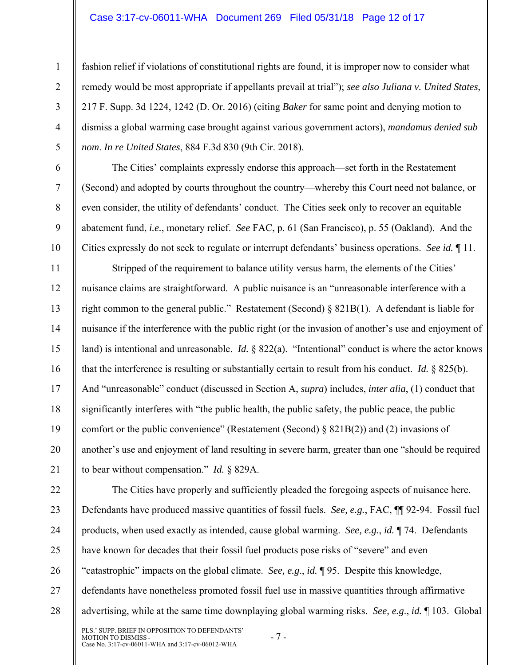#### Case 3:17-cv-06011-WHA Document 269 Filed 05/31/18 Page 12 of 17

1

2

3

4

5

6

7

8

9

10

11

12

13

14

15

16

17

18

19

20

21

fashion relief if violations of constitutional rights are found, it is improper now to consider what remedy would be most appropriate if appellants prevail at trial"); *see also Juliana v. United States*, 217 F. Supp. 3d 1224, 1242 (D. Or. 2016) (citing *Baker* for same point and denying motion to dismiss a global warming case brought against various government actors), *mandamus denied sub nom*. *In re United States*, 884 F.3d 830 (9th Cir. 2018).

The Cities' complaints expressly endorse this approach—set forth in the Restatement (Second) and adopted by courts throughout the country—whereby this Court need not balance, or even consider, the utility of defendants' conduct. The Cities seek only to recover an equitable abatement fund, *i.e.*, monetary relief. *See* FAC, p. 61 (San Francisco), p. 55 (Oakland). And the Cities expressly do not seek to regulate or interrupt defendants' business operations. *See id.* ¶ 11.

Stripped of the requirement to balance utility versus harm, the elements of the Cities' nuisance claims are straightforward. A public nuisance is an "unreasonable interference with a right common to the general public." Restatement (Second) § 821B(1). A defendant is liable for nuisance if the interference with the public right (or the invasion of another's use and enjoyment of land) is intentional and unreasonable. *Id.* § 822(a). "Intentional" conduct is where the actor knows that the interference is resulting or substantially certain to result from his conduct. *Id.* § 825(b). And "unreasonable" conduct (discussed in Section A, *supra*) includes, *inter alia*, (1) conduct that significantly interferes with "the public health, the public safety, the public peace, the public comfort or the public convenience" (Restatement (Second) § 821B(2)) and (2) invasions of another's use and enjoyment of land resulting in severe harm, greater than one "should be required to bear without compensation." *Id.* § 829A.

PLS.' SUPP. BRIEF IN OPPOSITION TO DEFENDANTS' 22 23 24 25 26 27 28 The Cities have properly and sufficiently pleaded the foregoing aspects of nuisance here. Defendants have produced massive quantities of fossil fuels. *See, e.g.*, FAC, ¶¶ 92-94. Fossil fuel products, when used exactly as intended, cause global warming. *See, e.g.*, *id.* ¶ 74. Defendants have known for decades that their fossil fuel products pose risks of "severe" and even "catastrophic" impacts on the global climate. *See, e.g*., *id.* ¶ 95. Despite this knowledge, defendants have nonetheless promoted fossil fuel use in massive quantities through affirmative advertising, while at the same time downplaying global warming risks. *See, e.g*., *id.* ¶ 103. Global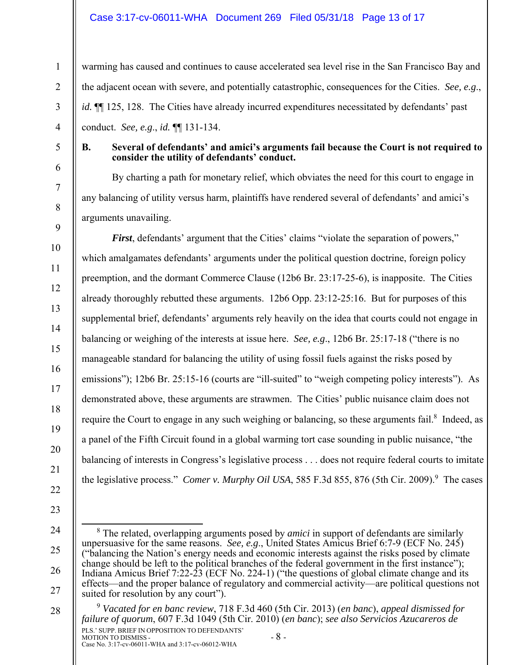# Case 3:17-cv-06011-WHA Document 269 Filed 05/31/18 Page 13 of 17

warming has caused and continues to cause accelerated sea level rise in the San Francisco Bay and the adjacent ocean with severe, and potentially catastrophic, consequences for the Cities. *See, e.g*., *id.*  $\P$ [125, 128. The Cities have already incurred expenditures necessitated by defendants' past conduct. *See, e.g*., *id.* ¶¶ 131-134.

5

6

7

8

9

10

11

12

13

14

15

16

17

18

19

20

21

22

23

1

2

3

4

### **B. Several of defendants' and amici's arguments fail because the Court is not required to consider the utility of defendants' conduct.**

By charting a path for monetary relief, which obviates the need for this court to engage in any balancing of utility versus harm, plaintiffs have rendered several of defendants' and amici's arguments unavailing.

*First*, defendants' argument that the Cities' claims "violate the separation of powers," which amalgamates defendants' arguments under the political question doctrine, foreign policy preemption, and the dormant Commerce Clause (12b6 Br. 23:17-25-6), is inapposite. The Cities already thoroughly rebutted these arguments. 12b6 Opp. 23:12-25:16. But for purposes of this supplemental brief, defendants' arguments rely heavily on the idea that courts could not engage in balancing or weighing of the interests at issue here. *See, e.g*., 12b6 Br. 25:17-18 ("there is no manageable standard for balancing the utility of using fossil fuels against the risks posed by emissions"); 12b6 Br. 25:15-16 (courts are "ill-suited" to "weigh competing policy interests"). As demonstrated above, these arguments are strawmen. The Cities' public nuisance claim does not require the Court to engage in any such weighing or balancing, so these arguments fail.<sup>8</sup> Indeed, as a panel of the Fifth Circuit found in a global warming tort case sounding in public nuisance, "the balancing of interests in Congress's legislative process . . . does not require federal courts to imitate the legislative process." *Comer v. Murphy Oil USA*, 585 F.3d 855, 876 (5th Cir. 2009).<sup>9</sup> The cases

PLS.' SUPP. BRIEF IN OPPOSITION TO DEFENDANTS' MOTION TO DISMISS - - 8 - Case No. 3:17-cv-06011-WHA and 3:17-cv-06012-WHA 28 <sup>9</sup> *Vacated for en banc review*, 718 F.3d 460 (5th Cir. 2013) (*en banc*), *appeal dismissed for failure of quorum*, 607 F.3d 1049 (5th Cir. 2010) (*en banc*); *see also Servicios Azucareros de* 

<sup>24</sup>  25 26 27 8 The related, overlapping arguments posed by *amici* in support of defendants are similarly unpersuasive for the same reasons. *See, e.g*., United States Amicus Brief 6:7-9 (ECF No. 245) ("balancing the Nation's energy needs and economic interests against the risks posed by climate change should be left to the political branches of the federal government in the first instance"); Indiana Amicus Brief 7:22-23 (ECF No. 224-1) ("the questions of global climate change and its effects—and the proper balance of regulatory and commercial activity—are political questions not suited for resolution by any court").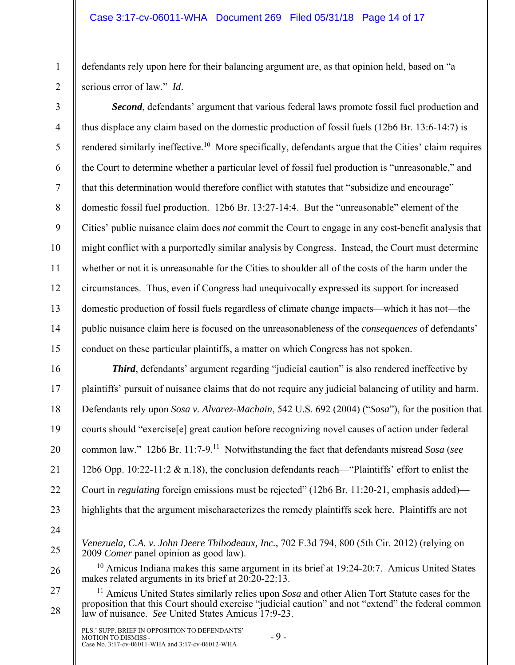defendants rely upon here for their balancing argument are, as that opinion held, based on "a serious error of law." *Id*.

*Second*, defendants' argument that various federal laws promote fossil fuel production and thus displace any claim based on the domestic production of fossil fuels (12b6 Br. 13:6-14:7) is rendered similarly ineffective.<sup>10</sup> More specifically, defendants argue that the Cities' claim requires the Court to determine whether a particular level of fossil fuel production is "unreasonable," and that this determination would therefore conflict with statutes that "subsidize and encourage" domestic fossil fuel production. 12b6 Br. 13:27-14:4. But the "unreasonable" element of the Cities' public nuisance claim does *not* commit the Court to engage in any cost-benefit analysis that might conflict with a purportedly similar analysis by Congress. Instead, the Court must determine whether or not it is unreasonable for the Cities to shoulder all of the costs of the harm under the circumstances. Thus, even if Congress had unequivocally expressed its support for increased domestic production of fossil fuels regardless of climate change impacts—which it has not—the public nuisance claim here is focused on the unreasonableness of the *consequences* of defendants' conduct on these particular plaintiffs, a matter on which Congress has not spoken.

**Third**, defendants' argument regarding "judicial caution" is also rendered ineffective by plaintiffs' pursuit of nuisance claims that do not require any judicial balancing of utility and harm. Defendants rely upon *Sosa v. Alvarez-Machain*, 542 U.S. 692 (2004) ("*Sosa*"), for the position that courts should "exercise[e] great caution before recognizing novel causes of action under federal common law." 12b6 Br. 11:7-9.11 Notwithstanding the fact that defendants misread *Sosa* (*see* 12b6 Opp. 10:22-11:2 & n.18), the conclusion defendants reach—"Plaintiffs' effort to enlist the Court in *regulating* foreign emissions must be rejected" (12b6 Br. 11:20-21, emphasis added) highlights that the argument mischaracterizes the remedy plaintiffs seek here. Plaintiffs are not

24

 $\overline{a}$ 

1

2

3

4

5

6

7

8

9

10

11

12

13

14

15

16

17

18

19

20

21

22

23

25

26

*Venezuela, C.A. v. John Deere Thibodeaux, Inc.*, 702 F.3d 794, 800 (5th Cir. 2012) (relying on 2009 *Comer* panel opinion as good law).

 $10$  Amicus Indiana makes this same argument in its brief at 19:24-20:7. Amicus United States makes related arguments in its brief at 20:20-22:13.

27 28 11 Amicus United States similarly relies upon *Sosa* and other Alien Tort Statute cases for the proposition that this Court should exercise "judicial caution" and not "extend" the federal common law of nuisance. *See* United States Amicus 17:9-23.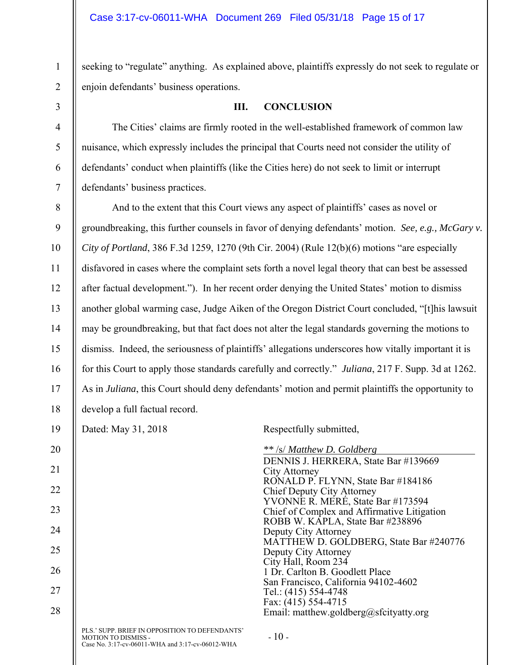seeking to "regulate" anything. As explained above, plaintiffs expressly do not seek to regulate or enjoin defendants' business operations.

3

4

5

6

7

11

1

2

**III. CONCLUSION** 

The Cities' claims are firmly rooted in the well-established framework of common law nuisance, which expressly includes the principal that Courts need not consider the utility of defendants' conduct when plaintiffs (like the Cities here) do not seek to limit or interrupt defendants' business practices.

8 9 10 12 13 14 15 16 17 18 And to the extent that this Court views any aspect of plaintiffs' cases as novel or groundbreaking, this further counsels in favor of denying defendants' motion. *See, e.g., McGary v. City of Portland*, 386 F.3d 1259, 1270 (9th Cir. 2004) (Rule 12(b)(6) motions "are especially disfavored in cases where the complaint sets forth a novel legal theory that can best be assessed after factual development."). In her recent order denying the United States' motion to dismiss another global warming case, Judge Aiken of the Oregon District Court concluded, "[t]his lawsuit may be groundbreaking, but that fact does not alter the legal standards governing the motions to dismiss. Indeed, the seriousness of plaintiffs' allegations underscores how vitally important it is for this Court to apply those standards carefully and correctly." *Juliana*, 217 F. Supp. 3d at 1262. As in *Juliana*, this Court should deny defendants' motion and permit plaintiffs the opportunity to develop a full factual record.

PLS.' SUPP. BRIEF IN OPPOSITION TO DEFENDANTS' MOTION TO DISMISS - - 10 - Case No. 3:17-cv-06011-WHA and 3:17-cv-06012-WHA - 10 -19 20 21 22 23 24 25 26 27 28 Dated: May 31, 2018 Respectfully submitted, *\*\** /s/ *Matthew D. Goldberg* DENNIS J. HERRERA, State Bar #139669 City Attorney RONALD P. FLYNN, State Bar #184186 Chief Deputy City Attorney YVONNE R. MERÉ, State Bar #173594 Chief of Complex and Affirmative Litigation ROBB W. KAPLA, State Bar #238896 Deputy City Attorney MATTHEW D. GOLDBERG, State Bar #240776 Deputy City Attorney City Hall, Room 234 1 Dr. Carlton B. Goodlett Place San Francisco, California 94102-4602 Tel.: (415) 554-4748 Fax: (415) 554-4715 Email: matthew.goldberg@sfcityatty.org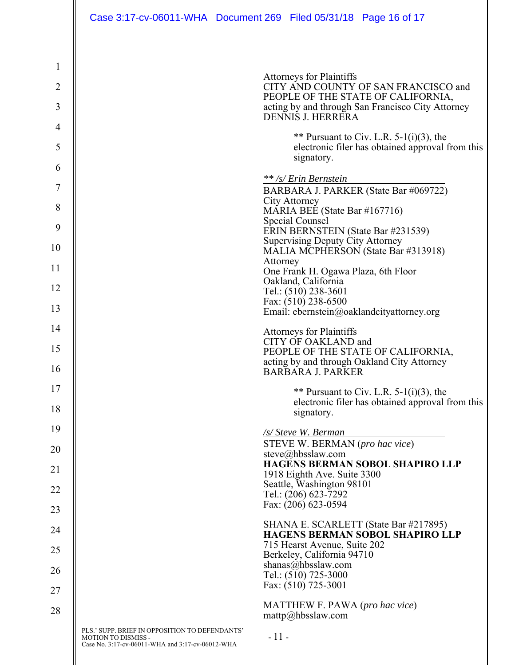| $\mathbf{1}$   |                                                                                                                           |                                                                                                              |  |  |  |
|----------------|---------------------------------------------------------------------------------------------------------------------------|--------------------------------------------------------------------------------------------------------------|--|--|--|
| $\overline{2}$ |                                                                                                                           | <b>Attorneys for Plaintiffs</b><br>CITY AND COUNTY OF SAN FRANCISCO and                                      |  |  |  |
| 3              |                                                                                                                           | PEOPLE OF THE STATE OF CALIFORNIA,<br>acting by and through San Francisco City Attorney<br>DENNIS J. HERRERA |  |  |  |
| 4              |                                                                                                                           |                                                                                                              |  |  |  |
| 5              |                                                                                                                           | ** Pursuant to Civ. L.R. $5-1(i)(3)$ , the<br>electronic filer has obtained approval from this<br>signatory. |  |  |  |
| 6              |                                                                                                                           |                                                                                                              |  |  |  |
| 7              |                                                                                                                           | ** /s/ Erin Bernstein<br>BARBARA J. PARKER (State Bar #069722)                                               |  |  |  |
| 8              |                                                                                                                           | City Attorney<br>MARIA BEE (State Bar #167716)                                                               |  |  |  |
| 9              |                                                                                                                           | Special Counsel<br>ERIN BERNSTEIN (State Bar #231539)                                                        |  |  |  |
| 10             |                                                                                                                           | <b>Supervising Deputy City Attorney</b>                                                                      |  |  |  |
|                |                                                                                                                           | MALIA MCPHERSON (State Bar #313918)<br>Attorney                                                              |  |  |  |
| 11             | One Frank H. Ogawa Plaza, 6th Floor<br>Oakland, California                                                                |                                                                                                              |  |  |  |
| 12             | Tel.: (510) 238-3601                                                                                                      |                                                                                                              |  |  |  |
| 13             | Fax: (510) 238-6500<br>Email: ebernstein@oaklandcityattorney.org                                                          |                                                                                                              |  |  |  |
| 14             |                                                                                                                           | <b>Attorneys for Plaintiffs</b>                                                                              |  |  |  |
| 15             |                                                                                                                           | CITY OF OAKLAND and<br>PEOPLE OF THE STATE OF CALIFORNIA,                                                    |  |  |  |
| 16             |                                                                                                                           | acting by and through Oakland City Attorney<br><b>BARBARA J. PARKER</b>                                      |  |  |  |
| 17             |                                                                                                                           | ** Pursuant to Civ. L.R. $5-1(i)(3)$ , the                                                                   |  |  |  |
| 18             |                                                                                                                           | electronic filer has obtained approval from this<br>signatory.                                               |  |  |  |
| 19             |                                                                                                                           | /s/ Steve W. Berman                                                                                          |  |  |  |
| 20             |                                                                                                                           | STEVE W. BERMAN (pro hac vice)<br>steve@hbsslaw.com                                                          |  |  |  |
| 21             |                                                                                                                           | HAGENS BERMAN SOBOL SHAPIRO LLP<br>1918 Eighth Ave. Suite 3300                                               |  |  |  |
| 22             |                                                                                                                           | Seattle, Washington 98101<br>Tel.: (206) 623-7292                                                            |  |  |  |
| 23             |                                                                                                                           | Fax: (206) 623-0594                                                                                          |  |  |  |
| 24             |                                                                                                                           | SHANA E. SCARLETT (State Bar #217895)<br>HAGENS BERMAN SOBOL SHAPIRO LLP                                     |  |  |  |
| 25             |                                                                                                                           | 715 Hearst Avenue, Suite 202<br>Berkeley, California 94710                                                   |  |  |  |
| 26             |                                                                                                                           | shanas@hbsslaw.com<br>Tel.: $(5\bar{1}0)$ 725-3000                                                           |  |  |  |
| 27             |                                                                                                                           | Fax: (510) 725-3001                                                                                          |  |  |  |
| 28             |                                                                                                                           | MATTHEW F. PAWA (pro hac vice)<br>$\text{mattp}(a)$ hbsslaw.com                                              |  |  |  |
|                | PLS.' SUPP. BRIEF IN OPPOSITION TO DEFENDANTS'<br>MOTION TO DISMISS -<br>Case No. 3:17-cv-06011-WHA and 3:17-cv-06012-WHA | $-11-$                                                                                                       |  |  |  |
|                |                                                                                                                           |                                                                                                              |  |  |  |